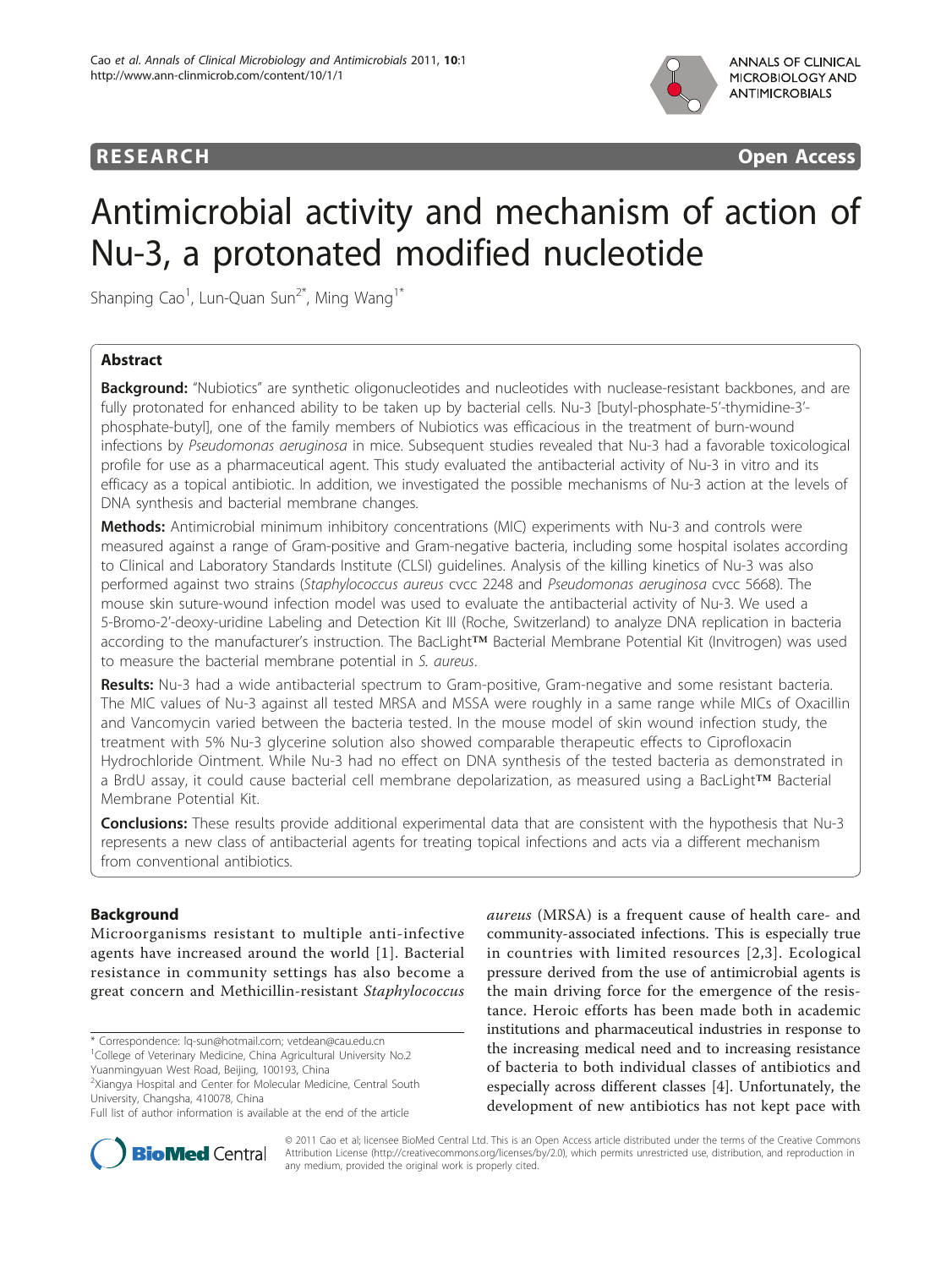

**RESEARCH CONSTRUCTION CONSTRUCTS** 

# Antimicrobial activity and mechanism of action of Nu-3, a protonated modified nucleotide

Shanping Cao<sup>1</sup>, Lun-Quan Sun<sup>2\*</sup>, Ming Wang<sup>1\*</sup>

# Abstract

**Background:** "Nubiotics" are synthetic oligonucleotides and nucleotides with nuclease-resistant backbones, and are fully protonated for enhanced ability to be taken up by bacterial cells. Nu-3 [butyl-phosphate-5'-thymidine-3' phosphate-butyl], one of the family members of Nubiotics was efficacious in the treatment of burn-wound infections by Pseudomonas aeruginosa in mice. Subsequent studies revealed that Nu-3 had a favorable toxicological profile for use as a pharmaceutical agent. This study evaluated the antibacterial activity of Nu-3 in vitro and its efficacy as a topical antibiotic. In addition, we investigated the possible mechanisms of Nu-3 action at the levels of DNA synthesis and bacterial membrane changes.

Methods: Antimicrobial minimum inhibitory concentrations (MIC) experiments with Nu-3 and controls were measured against a range of Gram-positive and Gram-negative bacteria, including some hospital isolates according to Clinical and Laboratory Standards Institute (CLSI) guidelines. Analysis of the killing kinetics of Nu-3 was also performed against two strains (Staphylococcus aureus cvcc 2248 and Pseudomonas aeruginosa cvcc 5668). The mouse skin suture-wound infection model was used to evaluate the antibacterial activity of Nu-3. We used a 5-Bromo-2'-deoxy-uridine Labeling and Detection Kit III (Roche, Switzerland) to analyze DNA replication in bacteria according to the manufacturer's instruction. The BacLight™ Bacterial Membrane Potential Kit (Invitrogen) was used to measure the bacterial membrane potential in S. aureus.

Results: Nu-3 had a wide antibacterial spectrum to Gram-positive, Gram-negative and some resistant bacteria. The MIC values of Nu-3 against all tested MRSA and MSSA were roughly in a same range while MICs of Oxacillin and Vancomycin varied between the bacteria tested. In the mouse model of skin wound infection study, the treatment with 5% Nu-3 glycerine solution also showed comparable therapeutic effects to Ciprofloxacin Hydrochloride Ointment. While Nu-3 had no effect on DNA synthesis of the tested bacteria as demonstrated in a BrdU assay, it could cause bacterial cell membrane depolarization, as measured using a BacLight™ Bacterial Membrane Potential Kit.

**Conclusions:** These results provide additional experimental data that are consistent with the hypothesis that Nu-3 represents a new class of antibacterial agents for treating topical infections and acts via a different mechanism from conventional antibiotics.

# Background

Microorganisms resistant to multiple anti-infective agents have increased around the world [\[1\]](#page-8-0). Bacterial resistance in community settings has also become a great concern and Methicillin-resistant Staphylococcus

<sup>1</sup>College of Veterinary Medicine, China Agricultural University No.2 Yuanmingyuan West Road, Beijing, 100193, China

2 Xiangya Hospital and Center for Molecular Medicine, Central South University, Changsha, 410078, China

aureus (MRSA) is a frequent cause of health care- and community-associated infections. This is especially true in countries with limited resources [\[2,3\]](#page-8-0). Ecological pressure derived from the use of antimicrobial agents is the main driving force for the emergence of the resistance. Heroic efforts has been made both in academic institutions and pharmaceutical industries in response to the increasing medical need and to increasing resistance of bacteria to both individual classes of antibiotics and especially across different classes [[4\]](#page-8-0). Unfortunately, the development of new antibiotics has not kept pace with



© 2011 Cao et al; licensee BioMed Central Ltd. This is an Open Access article distributed under the terms of the Creative Commons Attribution License [\(http://creativecommons.org/licenses/by/2.0](http://creativecommons.org/licenses/by/2.0)), which permits unrestricted use, distribution, and reproduction in any medium, provided the original work is properly cited.

<sup>\*</sup> Correspondence: [lq-sun@hotmail.com](mailto:lq-sun@hotmail.com); [vetdean@cau.edu.cn](mailto:vetdean@cau.edu.cn)

Full list of author information is available at the end of the article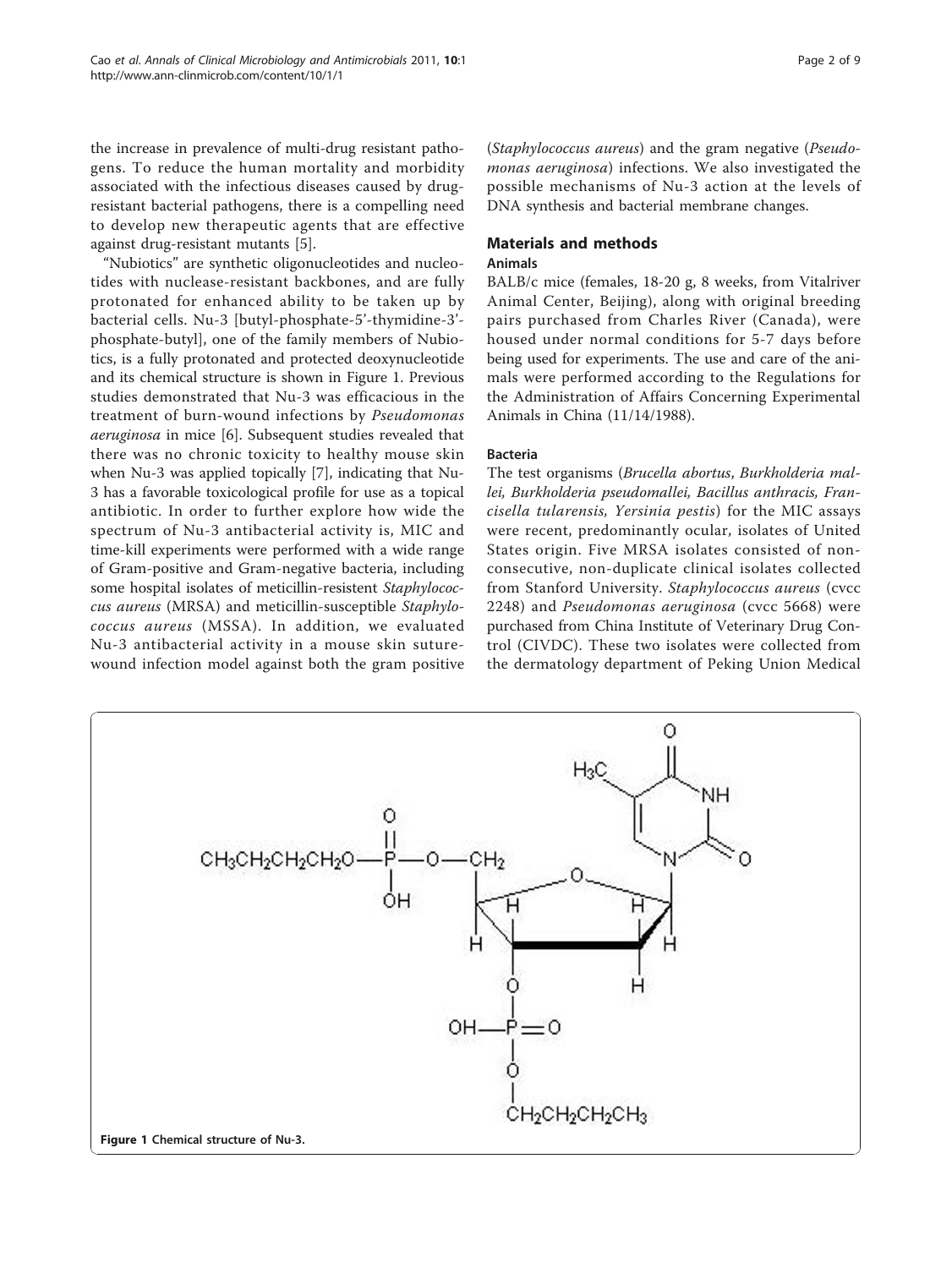the increase in prevalence of multi-drug resistant pathogens. To reduce the human mortality and morbidity associated with the infectious diseases caused by drugresistant bacterial pathogens, there is a compelling need to develop new therapeutic agents that are effective against drug-resistant mutants [[5\]](#page-8-0).

"Nubiotics" are synthetic oligonucleotides and nucleotides with nuclease-resistant backbones, and are fully protonated for enhanced ability to be taken up by bacterial cells. Nu-3 [butyl-phosphate-5'-thymidine-3' phosphate-butyl], one of the family members of Nubiotics, is a fully protonated and protected deoxynucleotide and its chemical structure is shown in Figure 1. Previous studies demonstrated that Nu-3 was efficacious in the treatment of burn-wound infections by Pseudomonas aeruginosa in mice [[6](#page-8-0)]. Subsequent studies revealed that there was no chronic toxicity to healthy mouse skin when Nu-3 was applied topically [[7\]](#page-8-0), indicating that Nu-3 has a favorable toxicological profile for use as a topical antibiotic. In order to further explore how wide the spectrum of Nu-3 antibacterial activity is, MIC and time-kill experiments were performed with a wide range of Gram-positive and Gram-negative bacteria, including some hospital isolates of meticillin-resistent Staphylococcus aureus (MRSA) and meticillin-susceptible Staphylococcus aureus (MSSA). In addition, we evaluated Nu-3 antibacterial activity in a mouse skin suturewound infection model against both the gram positive

(Staphylococcus aureus) and the gram negative (Pseudomonas aeruginosa) infections. We also investigated the possible mechanisms of Nu-3 action at the levels of DNA synthesis and bacterial membrane changes.

# Materials and methods

# Animals

BALB/c mice (females, 18-20 g, 8 weeks, from Vitalriver Animal Center, Beijing), along with original breeding pairs purchased from Charles River (Canada), were housed under normal conditions for 5-7 days before being used for experiments. The use and care of the animals were performed according to the Regulations for the Administration of Affairs Concerning Experimental Animals in China (11/14/1988).

## Bacteria

The test organisms (Brucella abortus, Burkholderia mallei, Burkholderia pseudomallei, Bacillus anthracis, Francisella tularensis, Yersinia pestis) for the MIC assays were recent, predominantly ocular, isolates of United States origin. Five MRSA isolates consisted of nonconsecutive, non-duplicate clinical isolates collected from Stanford University. Staphylococcus aureus (cvcc 2248) and Pseudomonas aeruginosa (cvcc 5668) were purchased from China Institute of Veterinary Drug Control (CIVDC). These two isolates were collected from the dermatology department of Peking Union Medical

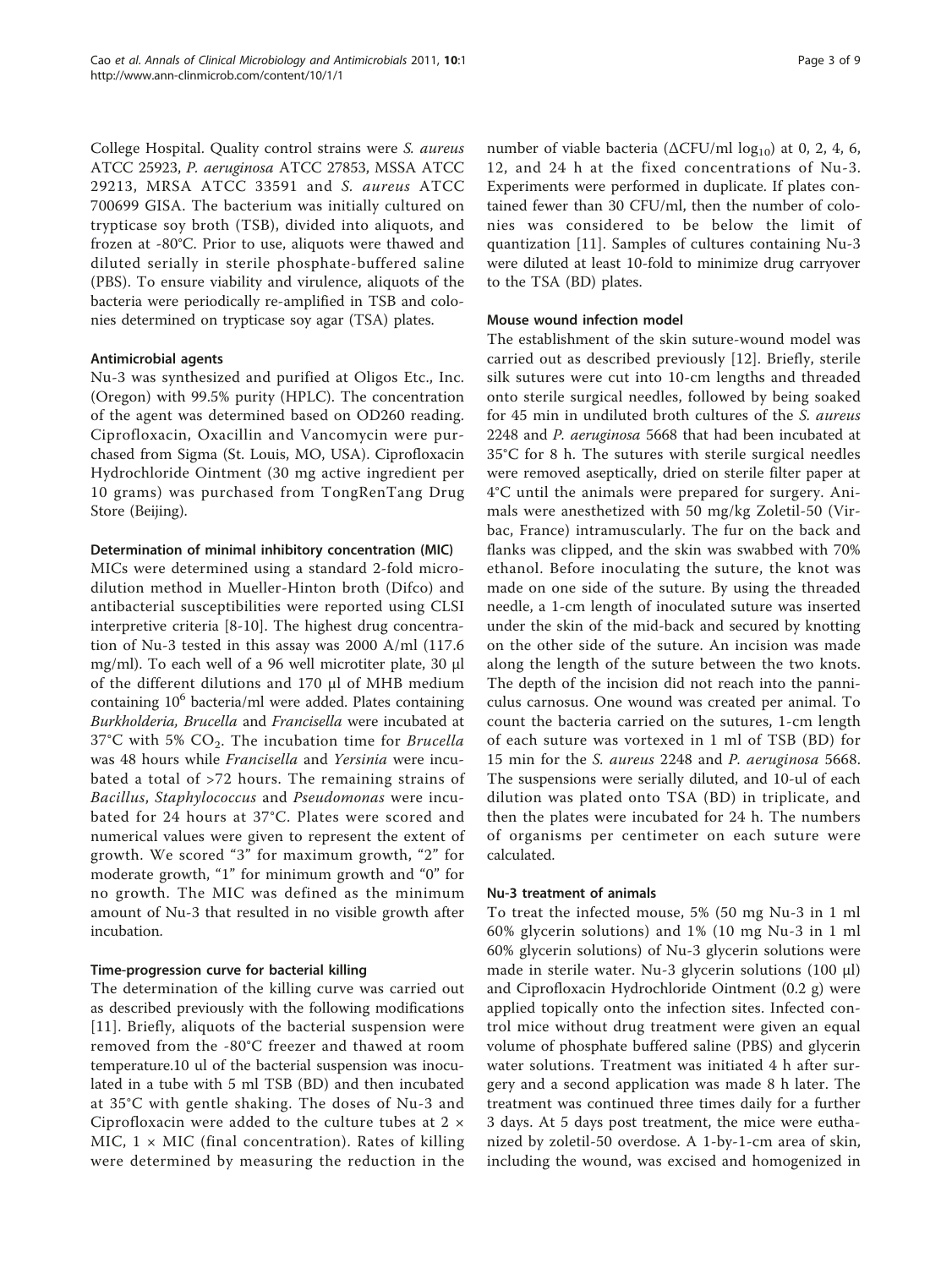College Hospital. Quality control strains were S. aureus ATCC 25923, P. aeruginosa ATCC 27853, MSSA ATCC 29213, MRSA ATCC 33591 and S. aureus ATCC 700699 GISA. The bacterium was initially cultured on trypticase soy broth (TSB), divided into aliquots, and frozen at -80°C. Prior to use, aliquots were thawed and diluted serially in sterile phosphate-buffered saline (PBS). To ensure viability and virulence, aliquots of the bacteria were periodically re-amplified in TSB and colonies determined on trypticase soy agar (TSA) plates.

### Antimicrobial agents

Nu-3 was synthesized and purified at Oligos Etc., Inc. (Oregon) with 99.5% purity (HPLC). The concentration of the agent was determined based on OD260 reading. Ciprofloxacin, Oxacillin and Vancomycin were purchased from Sigma (St. Louis, MO, USA). Ciprofloxacin Hydrochloride Ointment (30 mg active ingredient per 10 grams) was purchased from TongRenTang Drug Store (Beijing).

#### Determination of minimal inhibitory concentration (MIC)

MICs were determined using a standard 2-fold microdilution method in Mueller-Hinton broth (Difco) and antibacterial susceptibilities were reported using CLSI interpretive criteria [[8-10](#page-8-0)]. The highest drug concentration of Nu-3 tested in this assay was 2000 A/ml (117.6 mg/ml). To each well of a 96 well microtiter plate, 30 μl of the different dilutions and 170 μl of MHB medium containing  $10<sup>6</sup>$  bacteria/ml were added. Plates containing Burkholderia, Brucella and Francisella were incubated at 37°C with 5%  $CO<sub>2</sub>$ . The incubation time for *Brucella* was 48 hours while Francisella and Yersinia were incubated a total of >72 hours. The remaining strains of Bacillus, Staphylococcus and Pseudomonas were incubated for 24 hours at 37°C. Plates were scored and numerical values were given to represent the extent of growth. We scored "3" for maximum growth, "2" for moderate growth, "1" for minimum growth and "0" for no growth. The MIC was defined as the minimum amount of Nu-3 that resulted in no visible growth after incubation.

## Time-progression curve for bacterial killing

The determination of the killing curve was carried out as described previously with the following modifications [[11](#page-8-0)]. Briefly, aliquots of the bacterial suspension were removed from the -80°C freezer and thawed at room temperature.10 ul of the bacterial suspension was inoculated in a tube with 5 ml TSB (BD) and then incubated at 35°C with gentle shaking. The doses of Nu-3 and Ciprofloxacin were added to the culture tubes at  $2 \times$ MIC,  $1 \times$  MIC (final concentration). Rates of killing were determined by measuring the reduction in the

number of viable bacteria ( $ΔCFU/ml log<sub>10</sub>$ ) at 0, 2, 4, 6, 12, and 24 h at the fixed concentrations of Nu-3. Experiments were performed in duplicate. If plates contained fewer than 30 CFU/ml, then the number of colonies was considered to be below the limit of quantization [[11\]](#page-8-0). Samples of cultures containing Nu-3 were diluted at least 10-fold to minimize drug carryover to the TSA (BD) plates.

### Mouse wound infection model

The establishment of the skin suture-wound model was carried out as described previously [[12\]](#page-8-0). Briefly, sterile silk sutures were cut into 10-cm lengths and threaded onto sterile surgical needles, followed by being soaked for 45 min in undiluted broth cultures of the S. aureus 2248 and P. aeruginosa 5668 that had been incubated at 35°C for 8 h. The sutures with sterile surgical needles were removed aseptically, dried on sterile filter paper at 4°C until the animals were prepared for surgery. Animals were anesthetized with 50 mg/kg Zoletil-50 (Virbac, France) intramuscularly. The fur on the back and flanks was clipped, and the skin was swabbed with 70% ethanol. Before inoculating the suture, the knot was made on one side of the suture. By using the threaded needle, a 1-cm length of inoculated suture was inserted under the skin of the mid-back and secured by knotting on the other side of the suture. An incision was made along the length of the suture between the two knots. The depth of the incision did not reach into the panniculus carnosus. One wound was created per animal. To count the bacteria carried on the sutures, 1-cm length of each suture was vortexed in 1 ml of TSB (BD) for 15 min for the S. aureus 2248 and P. aeruginosa 5668. The suspensions were serially diluted, and 10-ul of each dilution was plated onto TSA (BD) in triplicate, and then the plates were incubated for 24 h. The numbers of organisms per centimeter on each suture were calculated.

#### Nu-3 treatment of animals

To treat the infected mouse, 5% (50 mg Nu-3 in 1 ml 60% glycerin solutions) and 1% (10 mg Nu-3 in 1 ml 60% glycerin solutions) of Nu-3 glycerin solutions were made in sterile water. Nu-3 glycerin solutions (100 μl) and Ciprofloxacin Hydrochloride Ointment (0.2 g) were applied topically onto the infection sites. Infected control mice without drug treatment were given an equal volume of phosphate buffered saline (PBS) and glycerin water solutions. Treatment was initiated 4 h after surgery and a second application was made 8 h later. The treatment was continued three times daily for a further 3 days. At 5 days post treatment, the mice were euthanized by zoletil-50 overdose. A 1-by-1-cm area of skin, including the wound, was excised and homogenized in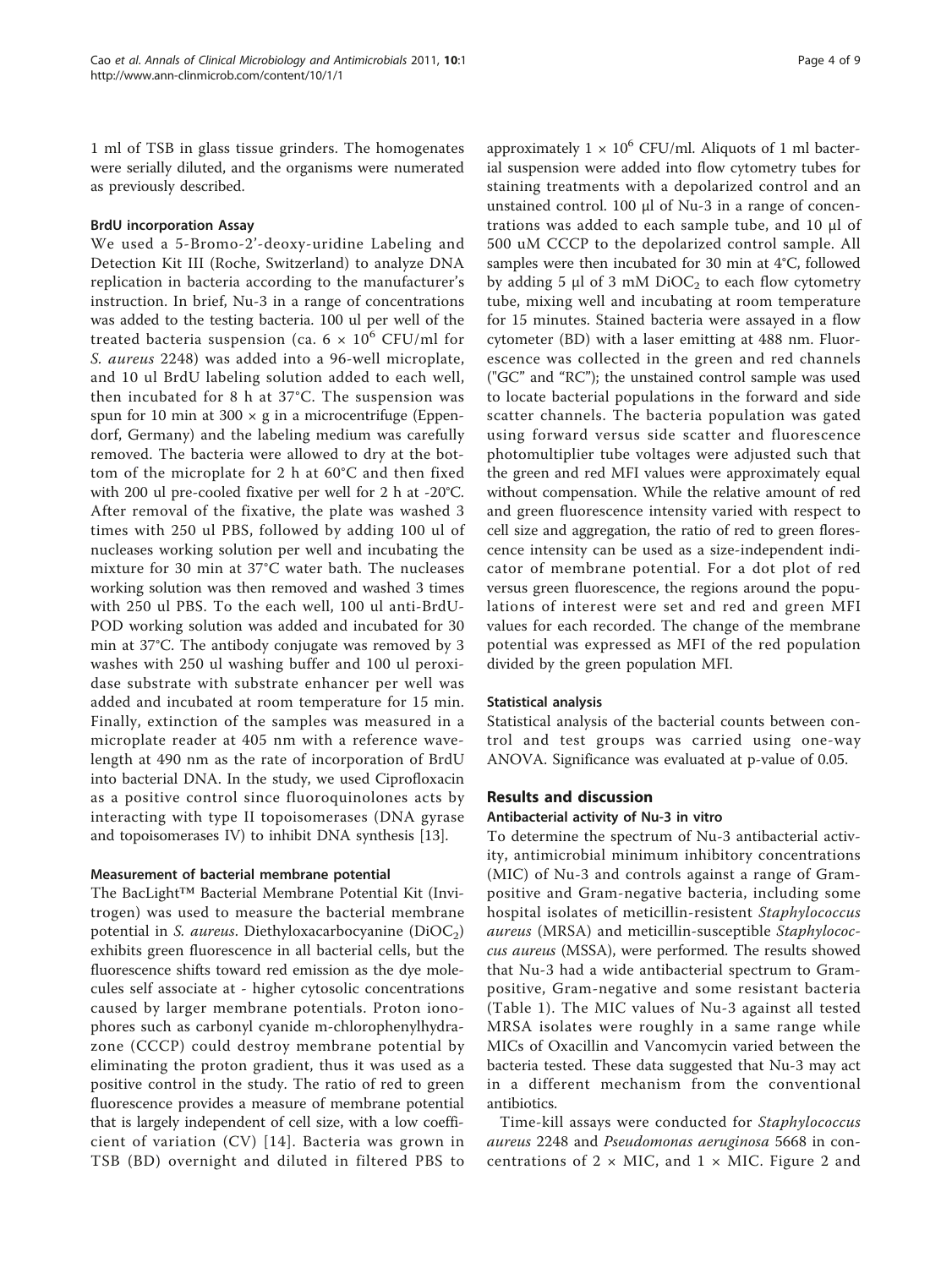1 ml of TSB in glass tissue grinders. The homogenates were serially diluted, and the organisms were numerated as previously described.

#### BrdU incorporation Assay

We used a 5-Bromo-2'-deoxy-uridine Labeling and Detection Kit III (Roche, Switzerland) to analyze DNA replication in bacteria according to the manufacturer's instruction. In brief, Nu-3 in a range of concentrations was added to the testing bacteria. 100 ul per well of the treated bacteria suspension (ca.  $6 \times 10^6$  CFU/ml for S. aureus 2248) was added into a 96-well microplate, and 10 ul BrdU labeling solution added to each well, then incubated for 8 h at 37°C. The suspension was spun for 10 min at  $300 \times g$  in a microcentrifuge (Eppendorf, Germany) and the labeling medium was carefully removed. The bacteria were allowed to dry at the bottom of the microplate for 2 h at 60°C and then fixed with 200 ul pre-cooled fixative per well for 2 h at -20°C. After removal of the fixative, the plate was washed 3 times with 250 ul PBS, followed by adding 100 ul of nucleases working solution per well and incubating the mixture for 30 min at 37°C water bath. The nucleases working solution was then removed and washed 3 times with 250 ul PBS. To the each well, 100 ul anti-BrdU-POD working solution was added and incubated for 30 min at 37°C. The antibody conjugate was removed by 3 washes with 250 ul washing buffer and 100 ul peroxidase substrate with substrate enhancer per well was added and incubated at room temperature for 15 min. Finally, extinction of the samples was measured in a microplate reader at 405 nm with a reference wavelength at 490 nm as the rate of incorporation of BrdU into bacterial DNA. In the study, we used Ciprofloxacin as a positive control since fluoroquinolones acts by interacting with type II topoisomerases (DNA gyrase and topoisomerases IV) to inhibit DNA synthesis [[13](#page-8-0)].

#### Measurement of bacterial membrane potential

The BacLight™ Bacterial Membrane Potential Kit (Invitrogen) was used to measure the bacterial membrane potential in S. *aureus*. Diethyloxacarbocyanine  $(DiOC_2)$ exhibits green fluorescence in all bacterial cells, but the fluorescence shifts toward red emission as the dye molecules self associate at - higher cytosolic concentrations caused by larger membrane potentials. Proton ionophores such as carbonyl cyanide m-chlorophenylhydrazone (CCCP) could destroy membrane potential by eliminating the proton gradient, thus it was used as a positive control in the study. The ratio of red to green fluorescence provides a measure of membrane potential that is largely independent of cell size, with a low coefficient of variation (CV) [[14](#page-8-0)]. Bacteria was grown in TSB (BD) overnight and diluted in filtered PBS to

approximately  $1 \times 10^6$  CFU/ml. Aliquots of 1 ml bacterial suspension were added into flow cytometry tubes for staining treatments with a depolarized control and an unstained control. 100 μl of Nu-3 in a range of concentrations was added to each sample tube, and 10 μl of 500 uM CCCP to the depolarized control sample. All samples were then incubated for 30 min at 4°C, followed by adding 5  $\mu$ l of 3 mM DiOC<sub>2</sub> to each flow cytometry tube, mixing well and incubating at room temperature for 15 minutes. Stained bacteria were assayed in a flow cytometer (BD) with a laser emitting at 488 nm. Fluorescence was collected in the green and red channels ("GC" and "RC"); the unstained control sample was used to locate bacterial populations in the forward and side scatter channels. The bacteria population was gated using forward versus side scatter and fluorescence photomultiplier tube voltages were adjusted such that the green and red MFI values were approximately equal without compensation. While the relative amount of red and green fluorescence intensity varied with respect to cell size and aggregation, the ratio of red to green florescence intensity can be used as a size-independent indicator of membrane potential. For a dot plot of red versus green fluorescence, the regions around the populations of interest were set and red and green MFI values for each recorded. The change of the membrane potential was expressed as MFI of the red population divided by the green population MFI.

#### Statistical analysis

Statistical analysis of the bacterial counts between control and test groups was carried using one-way ANOVA. Significance was evaluated at p-value of 0.05.

# Results and discussion

#### Antibacterial activity of Nu-3 in vitro

To determine the spectrum of Nu-3 antibacterial activity, antimicrobial minimum inhibitory concentrations (MIC) of Nu-3 and controls against a range of Grampositive and Gram-negative bacteria, including some hospital isolates of meticillin-resistent Staphylococcus aureus (MRSA) and meticillin-susceptible Staphylococcus aureus (MSSA), were performed. The results showed that Nu-3 had a wide antibacterial spectrum to Grampositive, Gram-negative and some resistant bacteria (Table [1\)](#page-4-0). The MIC values of Nu-3 against all tested MRSA isolates were roughly in a same range while MICs of Oxacillin and Vancomycin varied between the bacteria tested. These data suggested that Nu-3 may act in a different mechanism from the conventional antibiotics.

Time-kill assays were conducted for Staphylococcus aureus 2248 and Pseudomonas aeruginosa 5668 in concentrations of  $2 \times$  MIC, and  $1 \times$  MIC. Figure [2](#page-4-0) and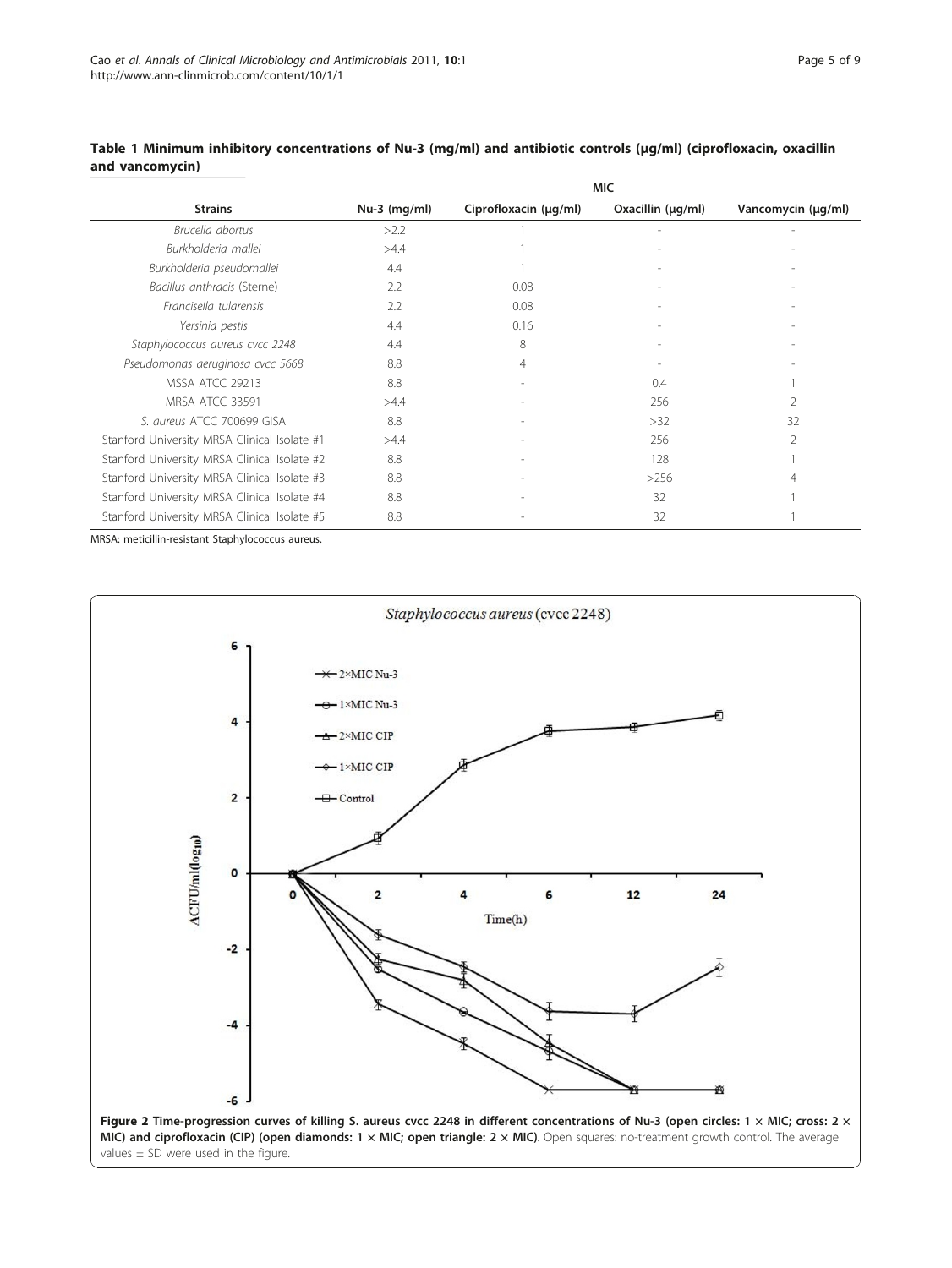| <b>MIC</b>     |                       |                   |                    |
|----------------|-----------------------|-------------------|--------------------|
| $Nu-3$ (mg/ml) | Ciprofloxacin (µg/ml) | Oxacillin (µg/ml) | Vancomycin (µg/ml) |
| >2.2           |                       |                   | $\overline{a}$     |
| >4.4           |                       |                   |                    |
| 4.4            |                       |                   |                    |
| 2.2            | 0.08                  |                   |                    |
| 2.2            | 0.08                  |                   |                    |
| 4.4            | 0.16                  |                   |                    |
| 4.4            | 8                     |                   |                    |
| 8.8            | 4                     |                   |                    |
| 8.8            |                       | 0.4               |                    |
| >4.4           |                       | 256               | 2                  |
| 8.8            |                       | >32               | 32                 |
| >4.4           |                       | 256               | 2                  |
| 8.8            |                       | 128               |                    |
| 8.8            |                       | >256              | 4                  |
| 8.8            |                       | 32                |                    |
| 8.8            |                       | 32                |                    |
|                |                       |                   |                    |

### <span id="page-4-0"></span>Table 1 Minimum inhibitory concentrations of Nu-3 (mg/ml) and antibiotic controls (μg/ml) (ciprofloxacin, oxacillin and vancomycin)

MRSA: meticillin-resistant Staphylococcus aureus.

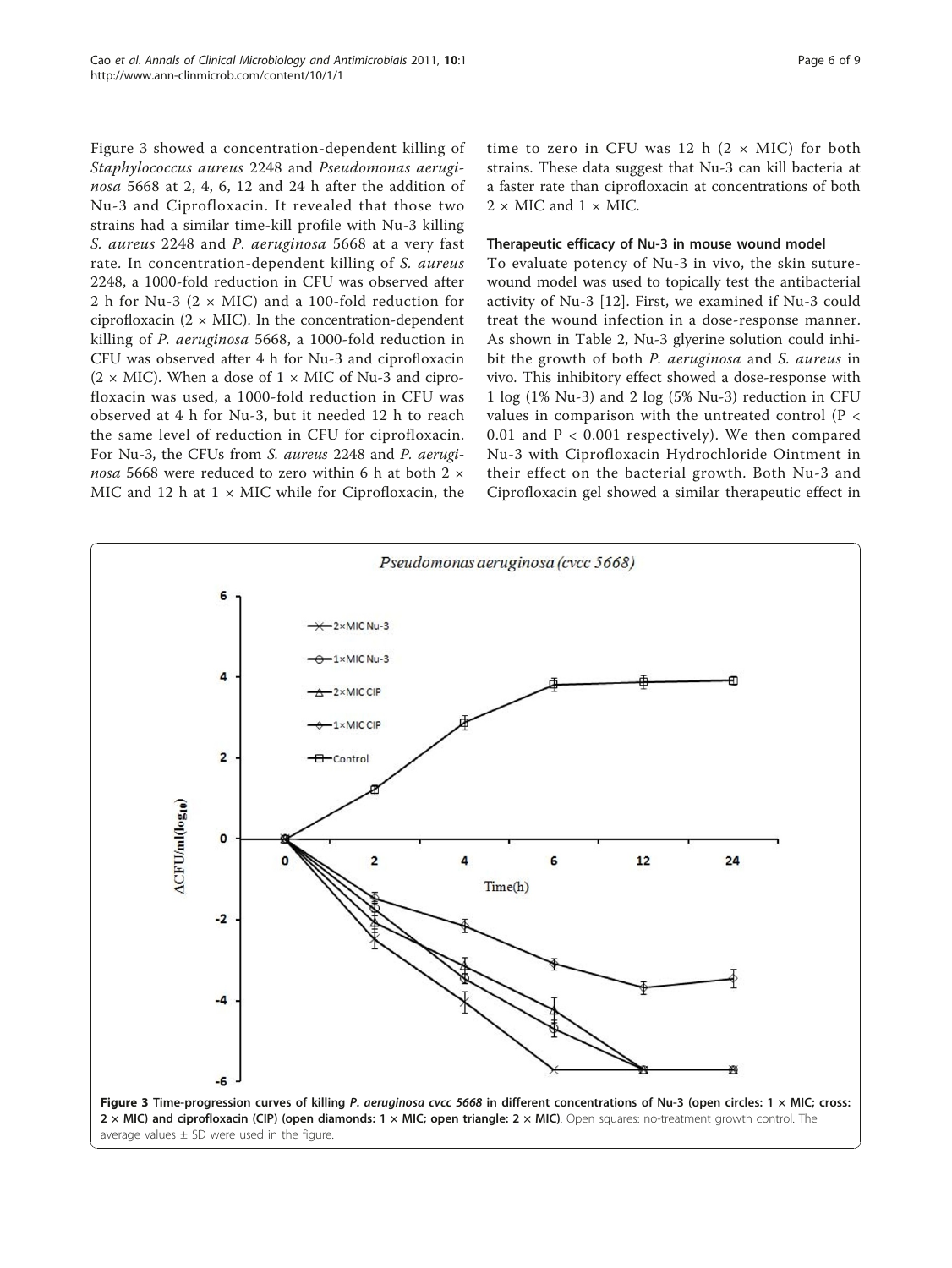Figure 3 showed a concentration-dependent killing of Staphylococcus aureus 2248 and Pseudomonas aeruginosa 5668 at 2, 4, 6, 12 and 24 h after the addition of Nu-3 and Ciprofloxacin. It revealed that those two strains had a similar time-kill profile with Nu-3 killing S. aureus 2248 and P. aeruginosa 5668 at a very fast rate. In concentration-dependent killing of S. aureus 2248, a 1000-fold reduction in CFU was observed after 2 h for Nu-3 ( $2 \times$  MIC) and a 100-fold reduction for ciprofloxacin  $(2 \times$  MIC). In the concentration-dependent killing of P. aeruginosa 5668, a 1000-fold reduction in CFU was observed after 4 h for Nu-3 and ciprofloxacin  $(2 \times$  MIC). When a dose of  $1 \times$  MIC of Nu-3 and ciprofloxacin was used, a 1000-fold reduction in CFU was observed at 4 h for Nu-3, but it needed 12 h to reach the same level of reduction in CFU for ciprofloxacin. For Nu-3, the CFUs from S. aureus 2248 and P. aeruginosa 5668 were reduced to zero within 6 h at both 2  $\times$ MIC and 12 h at  $1 \times$  MIC while for Ciprofloxacin, the

time to zero in CFU was 12 h  $(2 \times$  MIC) for both strains. These data suggest that Nu-3 can kill bacteria at a faster rate than ciprofloxacin at concentrations of both  $2 \times$  MIC and  $1 \times$  MIC.

#### Therapeutic efficacy of Nu-3 in mouse wound model

To evaluate potency of Nu-3 in vivo, the skin suturewound model was used to topically test the antibacterial activity of Nu-3 [[12\]](#page-8-0). First, we examined if Nu-3 could treat the wound infection in a dose-response manner. As shown in Table [2](#page-6-0), Nu-3 glyerine solution could inhibit the growth of both P. aeruginosa and S. aureus in vivo. This inhibitory effect showed a dose-response with 1 log (1% Nu-3) and 2 log (5% Nu-3) reduction in CFU values in comparison with the untreated control (P < 0.01 and P < 0.001 respectively). We then compared Nu-3 with Ciprofloxacin Hydrochloride Ointment in their effect on the bacterial growth. Both Nu-3 and Ciprofloxacin gel showed a similar therapeutic effect in

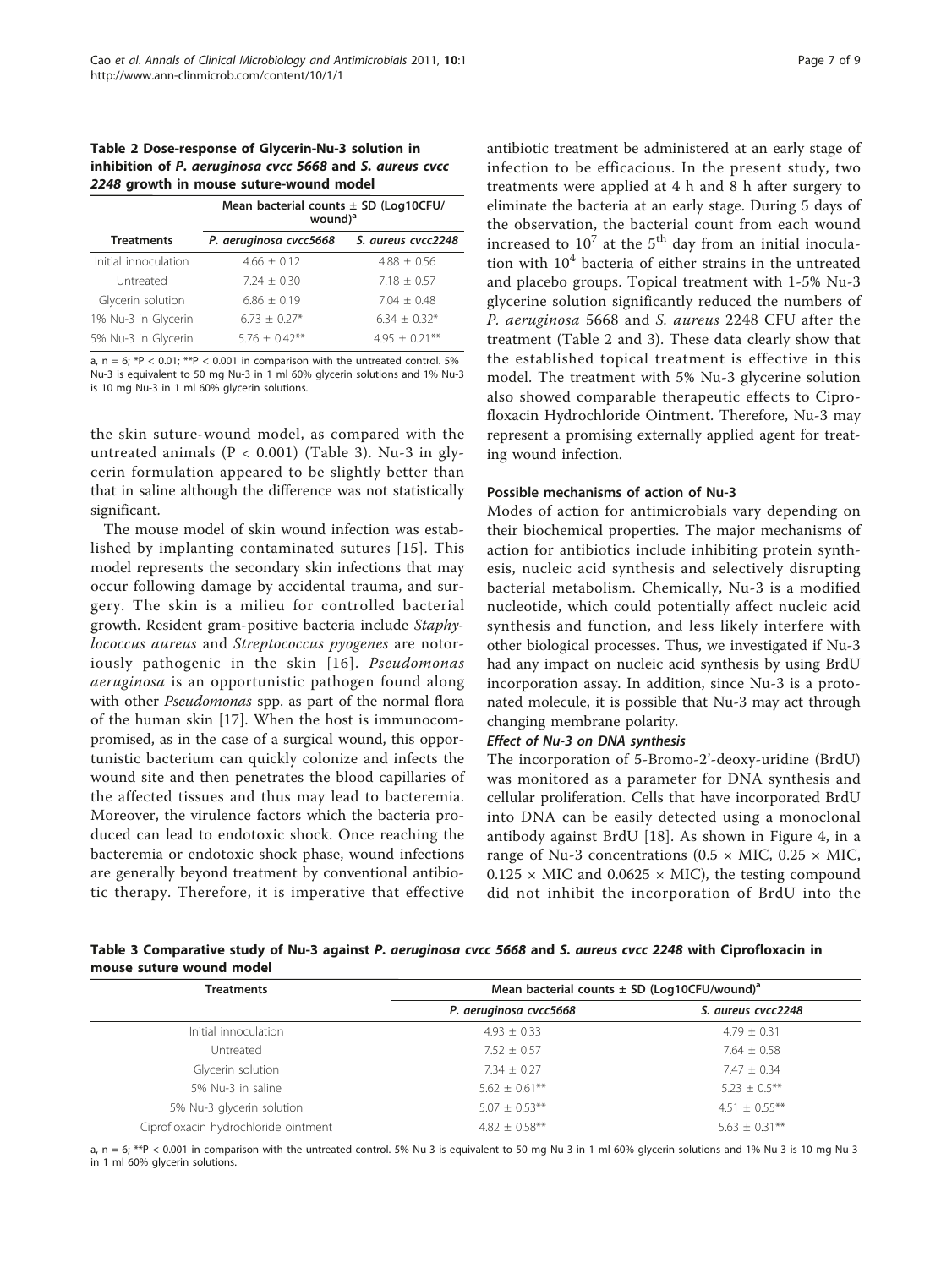#### <span id="page-6-0"></span>Table 2 Dose-response of Glycerin-Nu-3 solution in inhibition of P. aeruginosa cvcc 5668 and S. aureus cvcc 2248 growth in mouse suture-wound model

| Mean bacterial counts $\pm$ SD (Log10CFU/<br>wound) <sup>a</sup> |                    |  |
|------------------------------------------------------------------|--------------------|--|
| P. aeruginosa cvcc5668                                           | S. aureus cycc2248 |  |
| $4.66 + 0.12$                                                    | $4.88 + 0.56$      |  |
| $7.24 + 0.30$                                                    | $7.18 + 0.57$      |  |
| $6.86 + 0.19$                                                    | $7.04 + 0.48$      |  |
| $6.73 + 0.27*$                                                   | $6.34 + 0.32*$     |  |
| $5.76 + 0.42**$                                                  | $4.95 + 0.21***$   |  |
|                                                                  |                    |  |

a,  $n = 6$ ; \*P < 0.01; \*\*P < 0.001 in comparison with the untreated control. 5% Nu-3 is equivalent to 50 mg Nu-3 in 1 ml 60% glycerin solutions and 1% Nu-3 is 10 mg Nu-3 in 1 ml 60% glycerin solutions.

the skin suture-wound model, as compared with the untreated animals  $(P < 0.001)$  (Table 3). Nu-3 in glycerin formulation appeared to be slightly better than that in saline although the difference was not statistically significant.

The mouse model of skin wound infection was established by implanting contaminated sutures [[15\]](#page-8-0). This model represents the secondary skin infections that may occur following damage by accidental trauma, and surgery. The skin is a milieu for controlled bacterial growth. Resident gram-positive bacteria include Staphylococcus aureus and Streptococcus pyogenes are notor-iously pathogenic in the skin [[16\]](#page-8-0). Pseudomonas aeruginosa is an opportunistic pathogen found along with other *Pseudomonas* spp. as part of the normal flora of the human skin [[17\]](#page-8-0). When the host is immunocompromised, as in the case of a surgical wound, this opportunistic bacterium can quickly colonize and infects the wound site and then penetrates the blood capillaries of the affected tissues and thus may lead to bacteremia. Moreover, the virulence factors which the bacteria produced can lead to endotoxic shock. Once reaching the bacteremia or endotoxic shock phase, wound infections are generally beyond treatment by conventional antibiotic therapy. Therefore, it is imperative that effective

Page 7 of 9

antibiotic treatment be administered at an early stage of infection to be efficacious. In the present study, two treatments were applied at 4 h and 8 h after surgery to eliminate the bacteria at an early stage. During 5 days of the observation, the bacterial count from each wound increased to  $10^7$  at the  $5^{\text{th}}$  day from an initial inoculation with  $10<sup>4</sup>$  bacteria of either strains in the untreated and placebo groups. Topical treatment with 1-5% Nu-3 glycerine solution significantly reduced the numbers of P. aeruginosa 5668 and S. aureus 2248 CFU after the treatment (Table 2 and 3). These data clearly show that the established topical treatment is effective in this model. The treatment with 5% Nu-3 glycerine solution also showed comparable therapeutic effects to Ciprofloxacin Hydrochloride Ointment. Therefore, Nu-3 may represent a promising externally applied agent for treating wound infection.

### Possible mechanisms of action of Nu-3

Modes of action for antimicrobials vary depending on their biochemical properties. The major mechanisms of action for antibiotics include inhibiting protein synthesis, nucleic acid synthesis and selectively disrupting bacterial metabolism. Chemically, Nu-3 is a modified nucleotide, which could potentially affect nucleic acid synthesis and function, and less likely interfere with other biological processes. Thus, we investigated if Nu-3 had any impact on nucleic acid synthesis by using BrdU incorporation assay. In addition, since Nu-3 is a protonated molecule, it is possible that Nu-3 may act through changing membrane polarity.

The incorporation of 5-Bromo-2'-deoxy-uridine (BrdU) was monitored as a parameter for DNA synthesis and cellular proliferation. Cells that have incorporated BrdU into DNA can be easily detected using a monoclonal antibody against BrdU [\[18](#page-8-0)]. As shown in Figure [4,](#page-7-0) in a range of Nu-3 concentrations (0.5  $\times$  MIC, 0.25  $\times$  MIC,  $0.125 \times$  MIC and  $0.0625 \times$  MIC), the testing compound did not inhibit the incorporation of BrdU into the

# Table 3 Comparative study of Nu-3 against P. aeruginosa cvcc 5668 and S. aureus cvcc 2248 with Ciprofloxacin in mouse suture wound model

| <b>Treatments</b>                    | Mean bacterial counts $\pm$ SD (Log10CFU/wound) <sup>a</sup> |                    |  |
|--------------------------------------|--------------------------------------------------------------|--------------------|--|
|                                      | P. aeruginosa cvcc5668                                       | S. aureus cycc2248 |  |
| Initial innoculation                 | $4.93 \pm 0.33$                                              | $4.79 \pm 0.31$    |  |
| Untreated                            | $7.52 + 0.57$                                                | $7.64 \pm 0.58$    |  |
| Glycerin solution                    | $7.34 + 0.27$                                                | $7.47 \pm 0.34$    |  |
| 5% Nu-3 in saline                    | $5.62 \pm 0.61$ **                                           | $5.23 \pm 0.5$ **  |  |
| 5% Nu-3 glycerin solution            | $5.07 + 0.53**$                                              | $4.51 + 0.55***$   |  |
| Ciprofloxacin hydrochloride ointment | $4.82 \pm 0.58$ **                                           | $5.63 \pm 0.31***$ |  |

a,  $n = 6$ ;  $*p < 0.001$  in comparison with the untreated control. 5% Nu-3 is equivalent to 50 mg Nu-3 in 1 ml 60% glycerin solutions and 1% Nu-3 is 10 mg Nu-3 in 1 ml 60% glycerin solutions.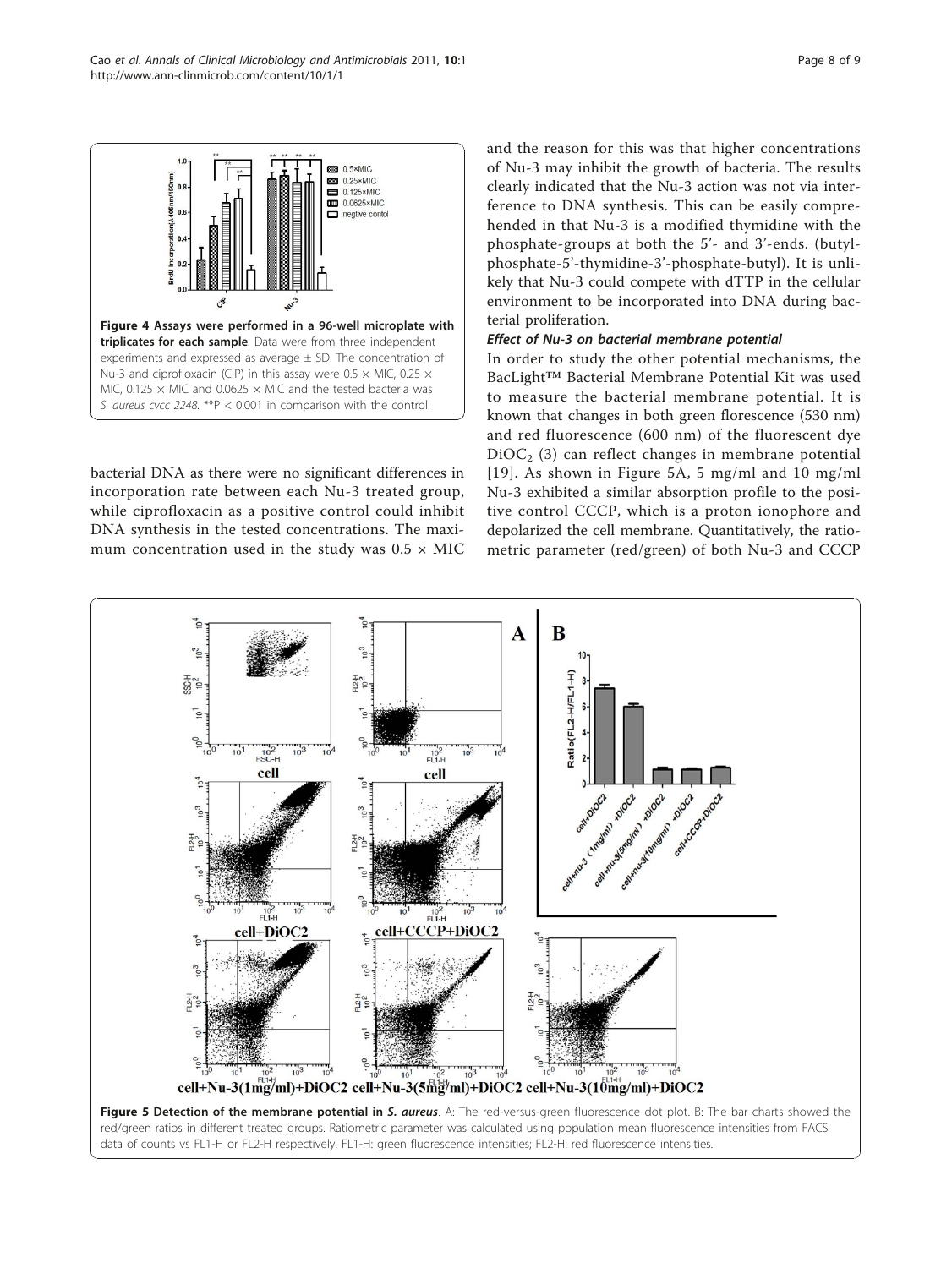<span id="page-7-0"></span>

bacterial DNA as there were no significant differences in incorporation rate between each Nu-3 treated group, while ciprofloxacin as a positive control could inhibit DNA synthesis in the tested concentrations. The maximum concentration used in the study was  $0.5 \times$  MIC and the reason for this was that higher concentrations of Nu-3 may inhibit the growth of bacteria. The results clearly indicated that the Nu-3 action was not via interference to DNA synthesis. This can be easily comprehended in that Nu-3 is a modified thymidine with the phosphate-groups at both the 5'- and 3'-ends. (butylphosphate-5'-thymidine-3'-phosphate-butyl). It is unlikely that Nu-3 could compete with dTTP in the cellular environment to be incorporated into DNA during bacterial proliferation.

In order to study the other potential mechanisms, the BacLight™ Bacterial Membrane Potential Kit was used to measure the bacterial membrane potential. It is known that changes in both green florescence (530 nm) and red fluorescence (600 nm) of the fluorescent dye  $DiOC<sub>2</sub>$  (3) can reflect changes in membrane potential [[19\]](#page-8-0). As shown in Figure 5A, 5 mg/ml and 10 mg/ml Nu-3 exhibited a similar absorption profile to the positive control CCCP, which is a proton ionophore and depolarized the cell membrane. Quantitatively, the ratiometric parameter (red/green) of both Nu-3 and CCCP